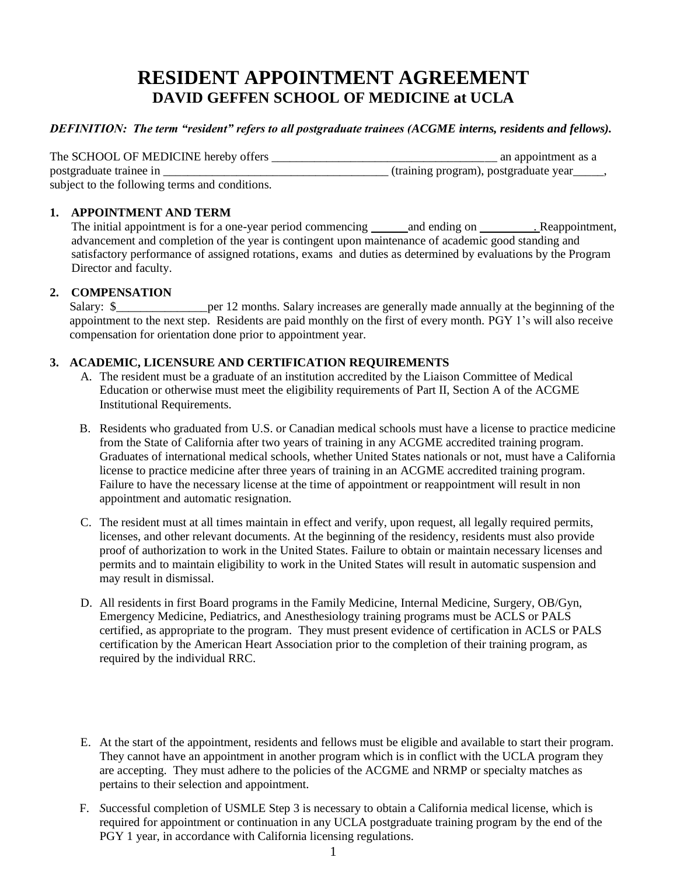# **RESIDENT APPOINTMENT AGREEMENT DAVID GEFFEN SCHOOL OF MEDICINE at UCLA**

## *DEFINITION: The term "resident" refers to all postgraduate trainees (ACGME interns, residents and fellows).*

| The SCHOOL OF MEDICINE hereby offers           | an appointment as a                                     |
|------------------------------------------------|---------------------------------------------------------|
| postgraduate trainee in                        | (training program), postgraduate year <sub>____</sub> , |
| subject to the following terms and conditions. |                                                         |

# **1. APPOINTMENT AND TERM**

The initial appointment is for a one-year period commencing and ending on . Reappointment, advancement and completion of the year is contingent upon maintenance of academic good standing and satisfactory performance of assigned rotations, exams and duties as determined by evaluations by the Program Director and faculty.

# **2. COMPENSATION**

Salary: \$\_\_\_\_\_\_\_\_\_\_\_\_\_\_\_\_\_per 12 months. Salary increases are generally made annually at the beginning of the appointment to the next step. Residents are paid monthly on the first of every month. PGY 1's will also receive compensation for orientation done prior to appointment year.

#### **3. ACADEMIC, LICENSURE AND CERTIFICATION REQUIREMENTS**

- A. The resident must be a graduate of an institution accredited by the Liaison Committee of Medical Education or otherwise must meet the eligibility requirements of Part II, Section A of the ACGME Institutional Requirements.
- B. Residents who graduated from U.S. or Canadian medical schools must have a license to practice medicine from the State of California after two years of training in any ACGME accredited training program. Graduates of international medical schools, whether United States nationals or not, must have a California license to practice medicine after three years of training in an ACGME accredited training program. Failure to have the necessary license at the time of appointment or reappointment will result in non appointment and automatic resignation.
- C. The resident must at all times maintain in effect and verify, upon request, all legally required permits, licenses, and other relevant documents. At the beginning of the residency, residents must also provide proof of authorization to work in the United States. Failure to obtain or maintain necessary licenses and permits and to maintain eligibility to work in the United States will result in automatic suspension and may result in dismissal.
- D. All residents in first Board programs in the Family Medicine, Internal Medicine, Surgery, OB/Gyn, Emergency Medicine, Pediatrics, and Anesthesiology training programs must be ACLS or PALS certified, as appropriate to the program. They must present evidence of certification in ACLS or PALS certification by the American Heart Association prior to the completion of their training program, as required by the individual RRC.
- E. At the start of the appointment, residents and fellows must be eligible and available to start their program. They cannot have an appointment in another program which is in conflict with the UCLA program they are accepting. They must adhere to the policies of the ACGME and NRMP or specialty matches as pertains to their selection and appointment.
- F. *S*uccessful completion of USMLE Step 3 is necessary to obtain a California medical license, which is required for appointment or continuation in any UCLA postgraduate training program by the end of the PGY 1 year, in accordance with California licensing regulations.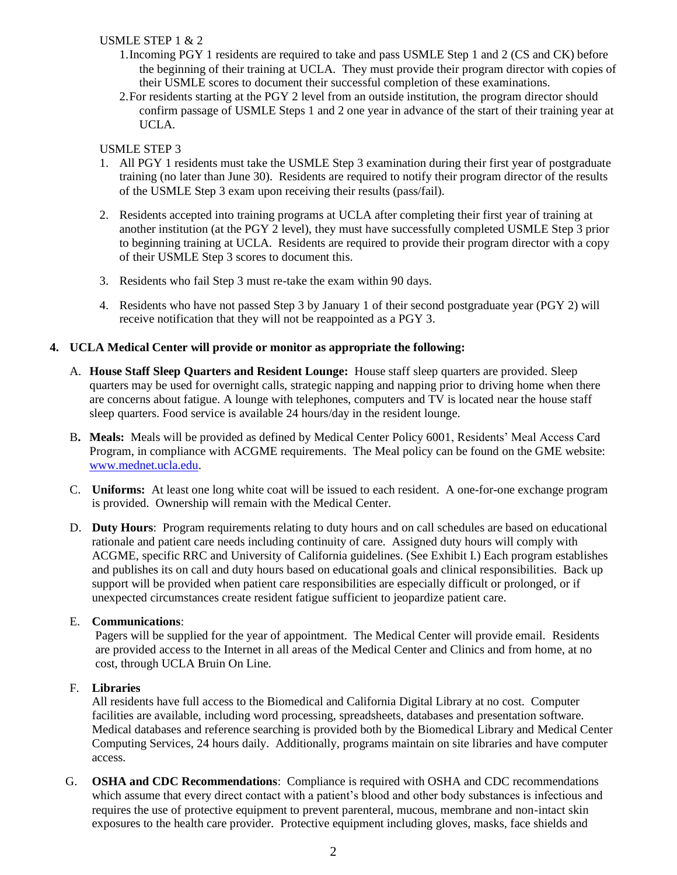# USMLE STEP 1 & 2

- 1.Incoming PGY 1 residents are required to take and pass USMLE Step 1 and 2 (CS and CK) before the beginning of their training at UCLA. They must provide their program director with copies of their USMLE scores to document their successful completion of these examinations.
- 2.For residents starting at the PGY 2 level from an outside institution, the program director should confirm passage of USMLE Steps 1 and 2 one year in advance of the start of their training year at UCLA.

#### USMLE STEP 3

- 1. All PGY 1 residents must take the USMLE Step 3 examination during their first year of postgraduate training (no later than June 30). Residents are required to notify their program director of the results of the USMLE Step 3 exam upon receiving their results (pass/fail).
- 2. Residents accepted into training programs at UCLA after completing their first year of training at another institution (at the PGY 2 level), they must have successfully completed USMLE Step 3 prior to beginning training at UCLA. Residents are required to provide their program director with a copy of their USMLE Step 3 scores to document this.
- 3. Residents who fail Step 3 must re-take the exam within 90 days.
- 4. Residents who have not passed Step 3 by January 1 of their second postgraduate year (PGY 2) will receive notification that they will not be reappointed as a PGY 3.

#### **4. UCLA Medical Center will provide or monitor as appropriate the following:**

- A. **House Staff Sleep Quarters and Resident Lounge:** House staff sleep quarters are provided. Sleep quarters may be used for overnight calls, strategic napping and napping prior to driving home when there are concerns about fatigue. A lounge with telephones, computers and TV is located near the house staff sleep quarters. Food service is available 24 hours/day in the resident lounge.
- B**. Meals:** Meals will be provided as defined by Medical Center Policy 6001, Residents' Meal Access Card Program, in compliance with ACGME requirements. The Meal policy can be found on the GME website: [www.mednet.ucla.edu.](http://www.mednet.ucla.edu/)
- C. **Uniforms:** At least one long white coat will be issued to each resident. A one-for-one exchange program is provided. Ownership will remain with the Medical Center.
- D. **Duty Hours**: Program requirements relating to duty hours and on call schedules are based on educational rationale and patient care needs including continuity of care. Assigned duty hours will comply with ACGME, specific RRC and University of California guidelines. (See Exhibit I.) Each program establishes and publishes its on call and duty hours based on educational goals and clinical responsibilities. Back up support will be provided when patient care responsibilities are especially difficult or prolonged, or if unexpected circumstances create resident fatigue sufficient to jeopardize patient care.

#### E. **Communications**:

Pagers will be supplied for the year of appointment. The Medical Center will provide email. Residents are provided access to the Internet in all areas of the Medical Center and Clinics and from home, at no cost, through UCLA Bruin On Line.

#### F. **Libraries**

All residents have full access to the Biomedical and California Digital Library at no cost. Computer facilities are available, including word processing, spreadsheets, databases and presentation software. Medical databases and reference searching is provided both by the Biomedical Library and Medical Center Computing Services, 24 hours daily. Additionally, programs maintain on site libraries and have computer access.

G. **OSHA and CDC Recommendations**: Compliance is required with OSHA and CDC recommendations which assume that every direct contact with a patient's blood and other body substances is infectious and requires the use of protective equipment to prevent parenteral, mucous, membrane and non-intact skin exposures to the health care provider. Protective equipment including gloves, masks, face shields and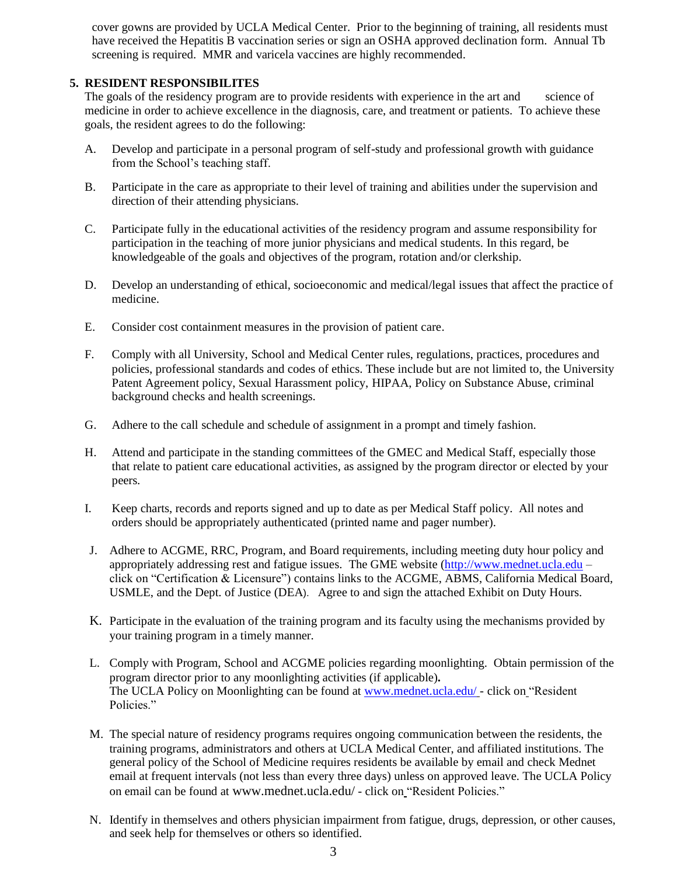cover gowns are provided by UCLA Medical Center. Prior to the beginning of training, all residents must have received the Hepatitis B vaccination series or sign an OSHA approved declination form. Annual Tb screening is required. MMR and varicela vaccines are highly recommended.

#### **5. RESIDENT RESPONSIBILITES**

The goals of the residency program are to provide residents with experience in the art and science of medicine in order to achieve excellence in the diagnosis, care, and treatment or patients. To achieve these goals, the resident agrees to do the following:

- A. Develop and participate in a personal program of self-study and professional growth with guidance from the School's teaching staff.
- B. Participate in the care as appropriate to their level of training and abilities under the supervision and direction of their attending physicians.
- C. Participate fully in the educational activities of the residency program and assume responsibility for participation in the teaching of more junior physicians and medical students. In this regard, be knowledgeable of the goals and objectives of the program, rotation and/or clerkship.
- D. Develop an understanding of ethical, socioeconomic and medical/legal issues that affect the practice of medicine.
- E. Consider cost containment measures in the provision of patient care.
- F. Comply with all University, School and Medical Center rules, regulations, practices, procedures and policies, professional standards and codes of ethics. These include but are not limited to, the University Patent Agreement policy, Sexual Harassment policy, HIPAA, Policy on Substance Abuse, criminal background checks and health screenings.
- G. Adhere to the call schedule and schedule of assignment in a prompt and timely fashion.
- H. Attend and participate in the standing committees of the GMEC and Medical Staff, especially those that relate to patient care educational activities, as assigned by the program director or elected by your peers.
- I. Keep charts, records and reports signed and up to date as per Medical Staff policy. All notes and orders should be appropriately authenticated (printed name and pager number).
- J. Adhere to ACGME, RRC, Program, and Board requirements, including meeting duty hour policy and appropriately addressing rest and fatigue issues. The GME website [\(http://www.mednet.ucla.edu](http://www.mednet.ucla.edu/) – click on "Certification & Licensure") contains links to the ACGME, ABMS, California Medical Board, USMLE, and the Dept. of Justice (DEA). Agree to and sign the attached Exhibit on Duty Hours.
- K. Participate in the evaluation of the training program and its faculty using the mechanisms provided by your training program in a timely manner.
- L. Comply with Program, School and ACGME policies regarding moonlighting. Obtain permission of the program director prior to any moonlighting activities (if applicable)*.* The UCLA Policy on Moonlighting can be found at [www.mednet.ucla.edu/](http://www.mednet.ucla.edu/) - click on "Resident Policies."
- M. The special nature of residency programs requires ongoing communication between the residents, the training programs, administrators and others at UCLA Medical Center, and affiliated institutions. The general policy of the School of Medicine requires residents be available by email and check Mednet email at frequent intervals (not less than every three days) unless on approved leave. The UCLA Policy on email can be found at [www.mednet.ucla.edu/](http://www.mednet.ucla.edu/) - click on "Resident Policies."
- N. Identify in themselves and others physician impairment from fatigue, drugs, depression, or other causes, and seek help for themselves or others so identified.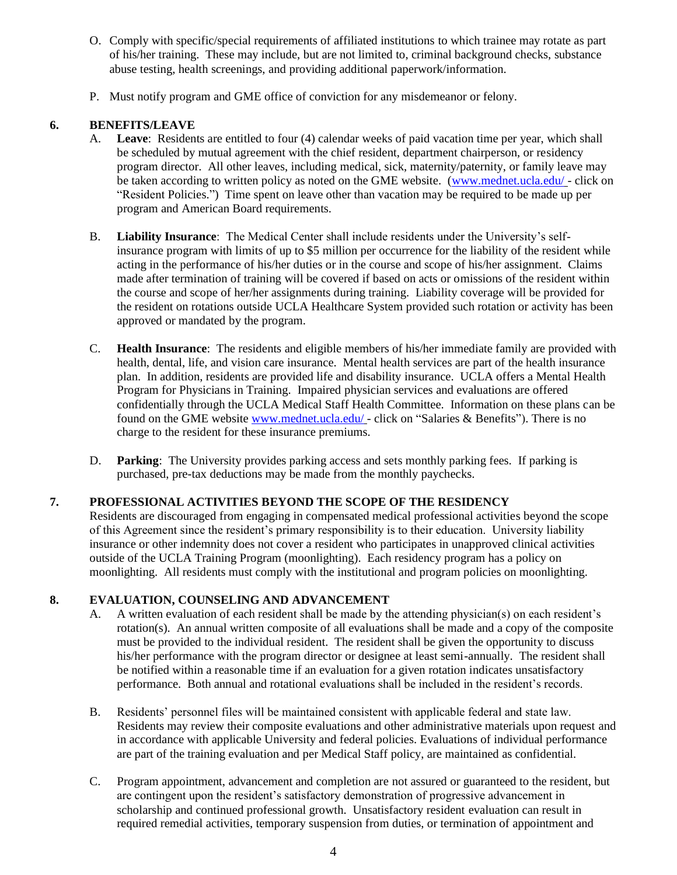- O. Comply with specific/special requirements of affiliated institutions to which trainee may rotate as part of his/her training. These may include, but are not limited to, criminal background checks, substance abuse testing, health screenings, and providing additional paperwork/information.
- P. Must notify program and GME office of conviction for any misdemeanor or felony.

# **6. BENEFITS/LEAVE**

- A. **Leave**: Residents are entitled to four (4) calendar weeks of paid vacation time per year, which shall be scheduled by mutual agreement with the chief resident, department chairperson, or residency program director. All other leaves, including medical, sick, maternity/paternity, or family leave may be taken according to written policy as noted on the GME website. [\(www.mednet.ucla.edu/](http://www.mednet.ucla.edu/) - click on "Resident Policies.") Time spent on leave other than vacation may be required to be made up per program and American Board requirements.
- B. **Liability Insurance**: The Medical Center shall include residents under the University's selfinsurance program with limits of up to \$5 million per occurrence for the liability of the resident while acting in the performance of his/her duties or in the course and scope of his/her assignment. Claims made after termination of training will be covered if based on acts or omissions of the resident within the course and scope of her/her assignments during training. Liability coverage will be provided for the resident on rotations outside UCLA Healthcare System provided such rotation or activity has been approved or mandated by the program.
- C. **Health Insurance**: The residents and eligible members of his/her immediate family are provided with health, dental, life, and vision care insurance. Mental health services are part of the health insurance plan. In addition, residents are provided life and disability insurance. UCLA offers a Mental Health Program for Physicians in Training. Impaired physician services and evaluations are offered confidentially through the UCLA Medical Staff Health Committee. Information on these plans can be found on the GME website [www.mednet.ucla.edu/](http://www.mednet.ucla.edu/) - click on "Salaries & Benefits"). There is no charge to the resident for these insurance premiums.
- D. **Parking**: The University provides parking access and sets monthly parking fees. If parking is purchased, pre-tax deductions may be made from the monthly paychecks.

# **7. PROFESSIONAL ACTIVITIES BEYOND THE SCOPE OF THE RESIDENCY**

Residents are discouraged from engaging in compensated medical professional activities beyond the scope of this Agreement since the resident's primary responsibility is to their education. University liability insurance or other indemnity does not cover a resident who participates in unapproved clinical activities outside of the UCLA Training Program (moonlighting). Each residency program has a policy on moonlighting. All residents must comply with the institutional and program policies on moonlighting.

# **8. EVALUATION, COUNSELING AND ADVANCEMENT**

- A. A written evaluation of each resident shall be made by the attending physician(s) on each resident's rotation(s). An annual written composite of all evaluations shall be made and a copy of the composite must be provided to the individual resident. The resident shall be given the opportunity to discuss his/her performance with the program director or designee at least semi-annually. The resident shall be notified within a reasonable time if an evaluation for a given rotation indicates unsatisfactory performance. Both annual and rotational evaluations shall be included in the resident's records.
- B. Residents' personnel files will be maintained consistent with applicable federal and state law. Residents may review their composite evaluations and other administrative materials upon request and in accordance with applicable University and federal policies. Evaluations of individual performance are part of the training evaluation and per Medical Staff policy, are maintained as confidential.
- C. Program appointment, advancement and completion are not assured or guaranteed to the resident, but are contingent upon the resident's satisfactory demonstration of progressive advancement in scholarship and continued professional growth. Unsatisfactory resident evaluation can result in required remedial activities, temporary suspension from duties, or termination of appointment and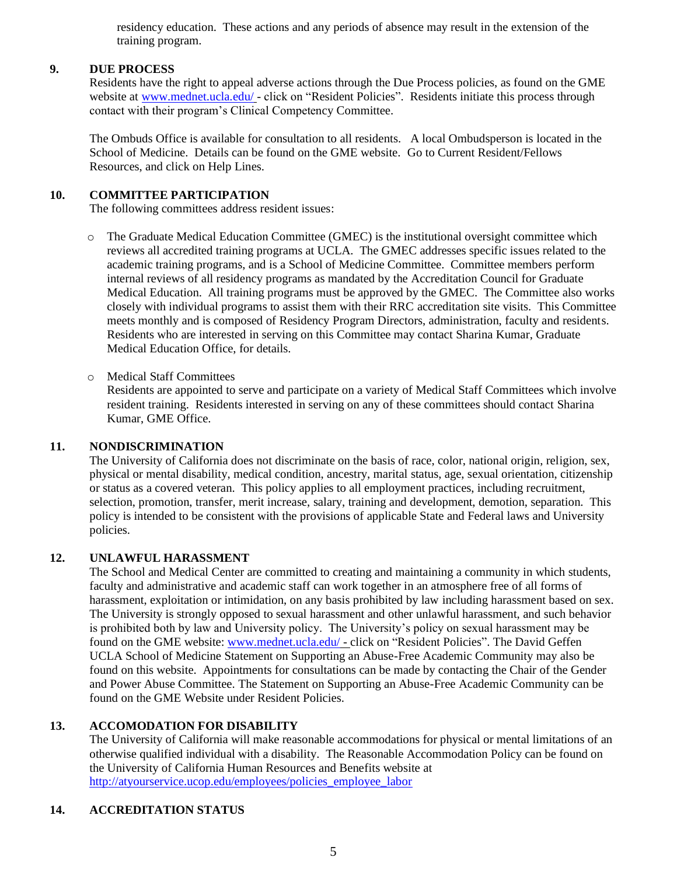residency education. These actions and any periods of absence may result in the extension of the training program.

#### **9. DUE PROCESS**

Residents have the right to appeal adverse actions through the Due Process policies, as found on the GME website at [www.mednet.ucla.edu/](http://www.mednet.ucla.edu/) - click on "Resident Policies". Residents initiate this process through contact with their program's Clinical Competency Committee.

The Ombuds Office is available for consultation to all residents. A local Ombudsperson is located in the School of Medicine. Details can be found on the GME website. Go to Current Resident/Fellows Resources, and click on Help Lines.

# **10. COMMITTEE PARTICIPATION**

The following committees address resident issues:

- o The Graduate Medical Education Committee (GMEC) is the institutional oversight committee which reviews all accredited training programs at UCLA. The GMEC addresses specific issues related to the academic training programs, and is a School of Medicine Committee. Committee members perform internal reviews of all residency programs as mandated by the Accreditation Council for Graduate Medical Education. All training programs must be approved by the GMEC. The Committee also works closely with individual programs to assist them with their RRC accreditation site visits. This Committee meets monthly and is composed of Residency Program Directors, administration, faculty and residents. Residents who are interested in serving on this Committee may contact Sharina Kumar, Graduate Medical Education Office, for details.
- o Medical Staff Committees

Residents are appointed to serve and participate on a variety of Medical Staff Committees which involve resident training. Residents interested in serving on any of these committees should contact Sharina Kumar, GME Office.

#### **11. NONDISCRIMINATION**

The University of California does not discriminate on the basis of race, color, national origin, religion, sex, physical or mental disability, medical condition, ancestry, marital status, age, sexual orientation, citizenship or status as a covered veteran. This policy applies to all employment practices, including recruitment, selection, promotion, transfer, merit increase, salary, training and development, demotion, separation. This policy is intended to be consistent with the provisions of applicable State and Federal laws and University policies.

#### **12. UNLAWFUL HARASSMENT**

The School and Medical Center are committed to creating and maintaining a community in which students, faculty and administrative and academic staff can work together in an atmosphere free of all forms of harassment, exploitation or intimidation, on any basis prohibited by law including harassment based on sex. The University is strongly opposed to sexual harassment and other unlawful harassment, and such behavior is prohibited both by law and University policy. The University's policy on sexual harassment may be found on the GME website: [www.mednet.ucla.edu/](http://www.mednet.ucla.edu/) - click on "Resident Policies". The David Geffen UCLA School of Medicine Statement on Supporting an Abuse-Free Academic Community may also be found on this website. Appointments for consultations can be made by contacting the Chair of the Gender and Power Abuse Committee. The Statement on Supporting an Abuse-Free Academic Community can be found on the GME Website under Resident Policies.

# **13. ACCOMODATION FOR DISABILITY**

The University of California will make reasonable accommodations for physical or mental limitations of an otherwise qualified individual with a disability. The Reasonable Accommodation Policy can be found on the University of California Human Resources and Benefits website at [http://atyourservice.ucop.edu/employees/policies\\_employee\\_labor](http://atyourservice.ucop.edu/employees/policies_employee_labor)

#### **14. ACCREDITATION STATUS**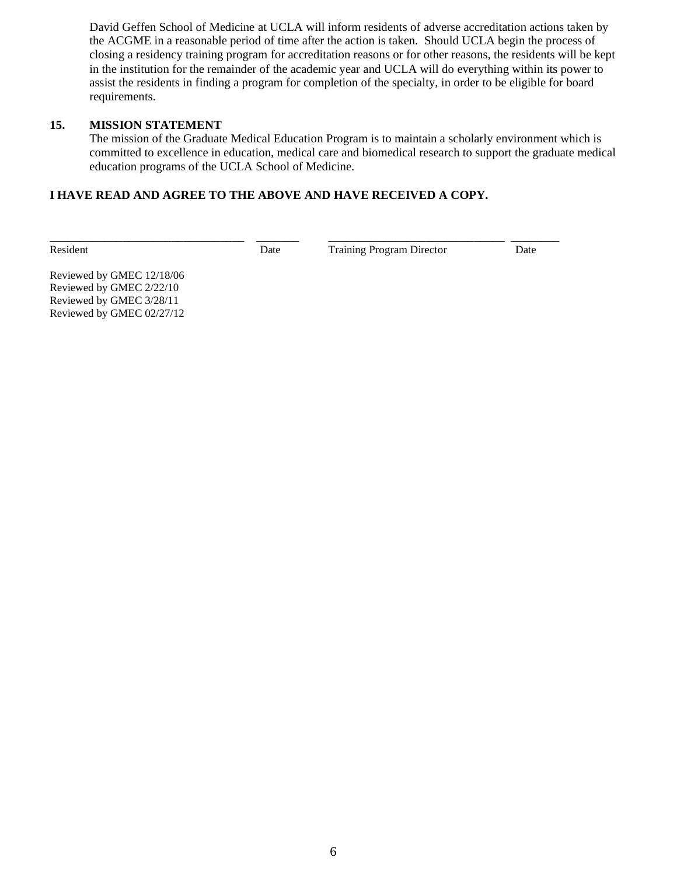David Geffen School of Medicine at UCLA will inform residents of adverse accreditation actions taken by the ACGME in a reasonable period of time after the action is taken. Should UCLA begin the process of closing a residency training program for accreditation reasons or for other reasons, the residents will be kept in the institution for the remainder of the academic year and UCLA will do everything within its power to assist the residents in finding a program for completion of the specialty, in order to be eligible for board requirements.

## **15. MISSION STATEMENT**

The mission of the Graduate Medical Education Program is to maintain a scholarly environment which is committed to excellence in education, medical care and biomedical research to support the graduate medical education programs of the UCLA School of Medicine.

# **I HAVE READ AND AGREE TO THE ABOVE AND HAVE RECEIVED A COPY.**

**\_\_\_\_\_\_\_\_\_\_\_\_\_\_\_\_\_\_\_\_\_\_\_\_\_\_\_\_\_\_\_\_ \_\_\_\_\_\_\_ \_\_\_\_\_\_\_\_\_\_\_\_\_\_\_\_\_\_\_\_\_\_\_\_\_\_\_\_\_ \_\_\_\_\_\_\_\_**

Resident Date Date Training Program Director Date

Reviewed by GMEC 12/18/06 Reviewed by GMEC 2/22/10 Reviewed by GMEC 3/28/11 Reviewed by GMEC 02/27/12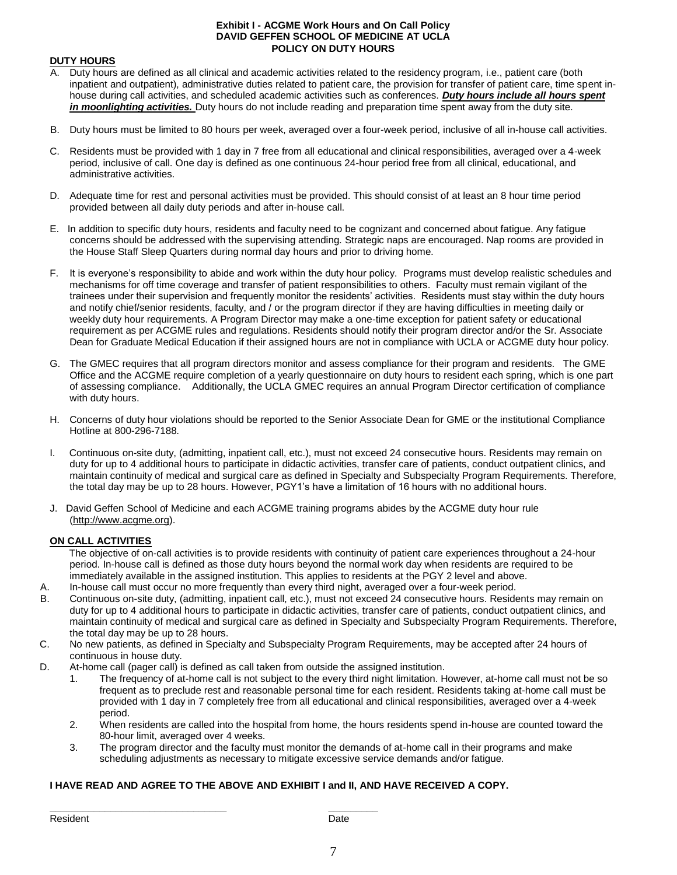#### **Exhibit I - ACGME Work Hours and On Call Policy DAVID GEFFEN SCHOOL OF MEDICINE AT UCLA POLICY ON DUTY HOURS**

#### **DUTY HOURS**

- A. Duty hours are defined as all clinical and academic activities related to the residency program, i.e., patient care (both inpatient and outpatient), administrative duties related to patient care, the provision for transfer of patient care, time spent inhouse during call activities, and scheduled academic activities such as conferences. *Duty hours include all hours spent in moonlighting activities.* Duty hours do not include reading and preparation time spent away from the duty site.
- B. Duty hours must be limited to 80 hours per week, averaged over a four-week period, inclusive of all in-house call activities.
- C. Residents must be provided with 1 day in 7 free from all educational and clinical responsibilities, averaged over a 4-week period, inclusive of call. One day is defined as one continuous 24-hour period free from all clinical, educational, and administrative activities.
- D. Adequate time for rest and personal activities must be provided. This should consist of at least an 8 hour time period provided between all daily duty periods and after in-house call.
- E. In addition to specific duty hours, residents and faculty need to be cognizant and concerned about fatigue. Any fatigue concerns should be addressed with the supervising attending. Strategic naps are encouraged. Nap rooms are provided in the House Staff Sleep Quarters during normal day hours and prior to driving home.
- F. It is everyone's responsibility to abide and work within the duty hour policy. Programs must develop realistic schedules and mechanisms for off time coverage and transfer of patient responsibilities to others. Faculty must remain vigilant of the trainees under their supervision and frequently monitor the residents' activities. Residents must stay within the duty hours and notify chief/senior residents, faculty, and / or the program director if they are having difficulties in meeting daily or weekly duty hour requirements. A Program Director may make a one-time exception for patient safety or educational requirement as per ACGME rules and regulations. Residents should notify their program director and/or the Sr. Associate Dean for Graduate Medical Education if their assigned hours are not in compliance with UCLA or ACGME duty hour policy.
- G. The GMEC requires that all program directors monitor and assess compliance for their program and residents. The GME Office and the ACGME require completion of a yearly questionnaire on duty hours to resident each spring, which is one part of assessing compliance. Additionally, the UCLA GMEC requires an annual Program Director certification of compliance with duty hours.
- H. Concerns of duty hour violations should be reported to the Senior Associate Dean for GME or the institutional Compliance Hotline at 800-296-7188.
- I. Continuous on-site duty, (admitting, inpatient call, etc.), must not exceed 24 consecutive hours. Residents may remain on duty for up to 4 additional hours to participate in didactic activities, transfer care of patients, conduct outpatient clinics, and maintain continuity of medical and surgical care as defined in Specialty and Subspecialty Program Requirements. Therefore, the total day may be up to 28 hours. However, PGY1's have a limitation of 16 hours with no additional hours.
- J. David Geffen School of Medicine and each ACGME training programs abides by the ACGME duty hour rule (http://www.acgme.org).

#### **ON CALL ACTIVITIES**

 The objective of on-call activities is to provide residents with continuity of patient care experiences throughout a 24-hour period. In-house call is defined as those duty hours beyond the normal work day when residents are required to be immediately available in the assigned institution. This applies to residents at the PGY 2 level and above.

- A. In-house call must occur no more frequently than every third night, averaged over a four-week period.
- B. Continuous on-site duty, (admitting, inpatient call, etc.), must not exceed 24 consecutive hours. Residents may remain on duty for up to 4 additional hours to participate in didactic activities, transfer care of patients, conduct outpatient clinics, and maintain continuity of medical and surgical care as defined in Specialty and Subspecialty Program Requirements. Therefore, the total day may be up to 28 hours.
- C. No new patients, as defined in Specialty and Subspecialty Program Requirements, may be accepted after 24 hours of continuous in house duty.
- D. At-home call (pager call) is defined as call taken from outside the assigned institution.

**\_\_\_\_\_\_\_\_\_\_\_\_\_\_\_\_\_\_\_\_\_\_\_\_\_\_\_\_\_\_\_\_ \_\_\_\_\_\_\_\_\_**

- 1. The frequency of at-home call is not subject to the every third night limitation. However, at-home call must not be so frequent as to preclude rest and reasonable personal time for each resident. Residents taking at-home call must be provided with 1 day in 7 completely free from all educational and clinical responsibilities, averaged over a 4-week period.
- 2. When residents are called into the hospital from home, the hours residents spend in-house are counted toward the 80-hour limit, averaged over 4 weeks.
- 3. The program director and the faculty must monitor the demands of at-home call in their programs and make scheduling adjustments as necessary to mitigate excessive service demands and/or fatigue.

#### **I HAVE READ AND AGREE TO THE ABOVE AND EXHIBIT I and II, AND HAVE RECEIVED A COPY.**